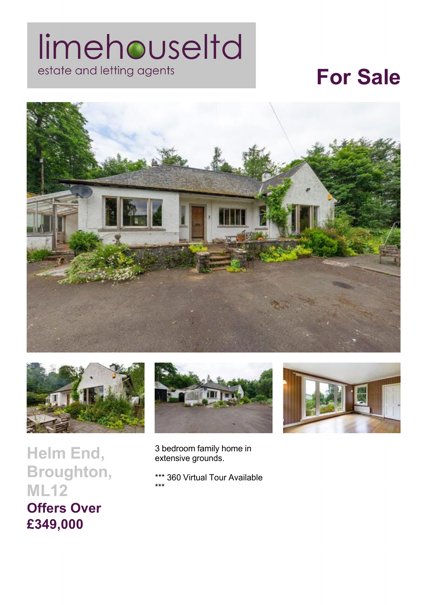## limehouseltd estate and letting agents

## **For Sale**





**Helm End, Broughton, ML12 Offers Over £349,000** 





3 bedroom family home in extensive grounds.

\*\*\* 360 Virtual Tour Available \*\*\*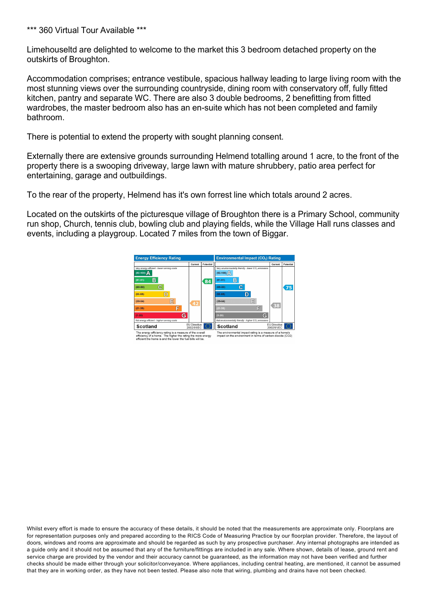\*\*\* 360 Virtual Tour Available \*\*\*

Limehouseltd are delighted to welcome to the market this 3 bedroom detached property on the outskirts of Broughton.

Accommodation comprises; entrance vestibule, spacious hallway leading to large living room with the most stunning views over the surrounding countryside, dining room with conservatory off, fully fitted kitchen, pantry and separate WC. There are also 3 double bedrooms, 2 benefitting from fitted wardrobes, the master bedroom also has an en-suite which has not been completed and family bathroom.

There is potential to extend the property with sought planning consent.

Externally there are extensive grounds surrounding Helmend totalling around 1 acre, to the front of the property there is a swooping driveway, large lawn with mature shrubbery, patio area perfect for entertaining, garage and outbuildings.

To the rear of the property, Helmend has it's own forrest line which totals around 2 acres.

Located on the outskirts of the picturesque village of Broughton there is a Primary School, community run shop, Church, tennis club, bowling club and playing fields, while the Village Hall runs classes and events, including a playgroup. Located 7 miles from the town of Biggar.



Whilst every effort is made to ensure the accuracy of these details, it should be noted that the measurements are approximate only. Floorplans are for representation purposes only and prepared according to the RICS Code of Measuring Practice by our floorplan provider. Therefore, the layout of doors, windows and rooms are approximate and should be regarded as such by any prospective purchaser. Any internal photographs are intended as a guide only and it should not be assumed that any of the furniture/fittings are included in any sale. Where shown, details of lease, ground rent and service charge are provided by the vendor and their accuracy cannot be guaranteed, as the information may not have been verified and further checks should be made either through your solicitor/conveyance. Where appliances, including central heating, are mentioned, it cannot be assumed that they are in working order, as they have not been tested. Please also note that wiring, plumbing and drains have not been checked.